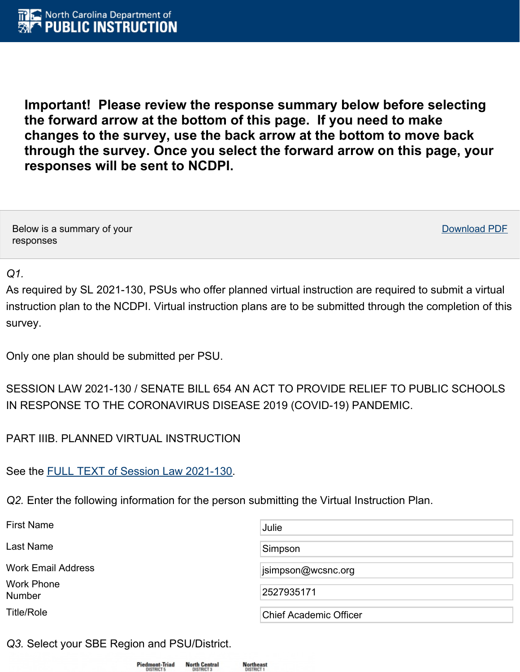**Important! Please review the response summary below before selecting the forward arrow at the bottom of this page. If you need to make changes to the survey, use the back arrow at the bottom to move back through the survey. Once you select the forward arrow on this page, your responses will be sent to NCDPI.**

Below is a summary of your responses

Download PDF

### *Q1.*

As required by SL 2021-130, PSUs who offer planned virtual instruction are required to submit a virtual instruction plan to the NCDPI. Virtual instruction plans are to be submitted through the completion of this survey.

Only one plan should be submitted per PSU.

# SESSION LAW 2021-130 / SENATE BILL 654 AN ACT TO PROVIDE RELIEF TO PUBLIC SCHOOLS IN RESPONSE TO THE CORONAVIRUS DISEASE 2019 (COVID-19) PANDEMIC.

PART IIIB. PLANNED VIRTUAL INSTRUCTION

See the FULL TEXT of Session Law [2021-130](https://www.ncleg.gov/Sessions/2021/Bills/Senate/PDF/S654v7.pdf).

*Q2.* Enter the following information for the person submitting the Virtual Instruction Plan.

| <b>First Name</b>                  | Julie                         |
|------------------------------------|-------------------------------|
| Last Name                          | Simpson                       |
| <b>Work Email Address</b>          | jsimpson@wcsnc.org            |
| <b>Work Phone</b><br><b>Number</b> | 2527935171                    |
| <b>Title/Role</b>                  | <b>Chief Academic Officer</b> |

*Q3.* Select your SBE Region and PSU/District.



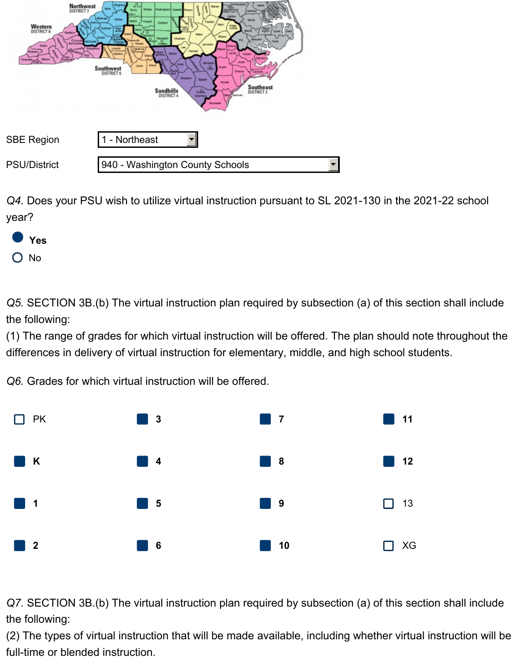

*Q4.* Does your PSU wish to utilize virtual instruction pursuant to SL 2021-130 in the 2021-22 school year?



*Q5.* SECTION 3B.(b) The virtual instruction plan required by subsection (a) of this section shall include the following:

(1) The range of grades for which virtual instruction will be offered. The plan should note throughout the differences in delivery of virtual instruction for elementary, middle, and high school students.

*Q6.* Grades for which virtual instruction will be offered.



*Q7.* SECTION 3B.(b) The virtual instruction plan required by subsection (a) of this section shall include the following:

(2) The types of virtual instruction that will be made available, including whether virtual instruction will be full-time or blended instruction.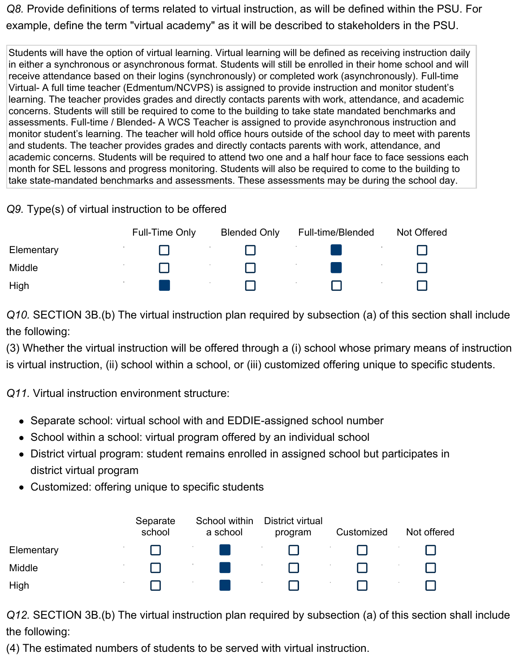*Q8.* Provide definitions of terms related to virtual instruction, as will be defined within the PSU. For example, define the term "virtual academy" as it will be described to stakeholders in the PSU.

Students will have the option of virtual learning. Virtual learning will be defined as receiving instruction daily in either a synchronous or asynchronous format. Students will still be enrolled in their home school and will receive attendance based on their logins (synchronously) or completed work (asynchronously). Full-time Virtual- A full time teacher (Edmentum/NCVPS) is assigned to provide instruction and monitor student's learning. The teacher provides grades and directly contacts parents with work, attendance, and academic concerns. Students will still be required to come to the building to take state mandated benchmarks and assessments. Full-time / Blended- A WCS Teacher is assigned to provide asynchronous instruction and monitor student's learning. The teacher will hold office hours outside of the school day to meet with parents and students. The teacher provides grades and directly contacts parents with work, attendance, and academic concerns. Students will be required to attend two one and a half hour face to face sessions each month for SEL lessons and progress monitoring. Students will also be required to come to the building to take state-mandated benchmarks and assessments. These assessments may be during the school day.

### *Q9.* Type(s) of virtual instruction to be offered

|            | Full-Time Only | <b>Blended Only</b> | Full-time/Blended | Not Offered |
|------------|----------------|---------------------|-------------------|-------------|
| Elementary |                |                     |                   |             |
| Middle     |                |                     |                   |             |
| High       |                |                     |                   |             |

*Q10.* SECTION 3B.(b) The virtual instruction plan required by subsection (a) of this section shall include the following:

(3) Whether the virtual instruction will be offered through a (i) school whose primary means of instruction is virtual instruction, (ii) school within a school, or (iii) customized offering unique to specific students.

*Q11.* Virtual instruction environment structure:

- Separate school: virtual school with and EDDIE-assigned school number
- School within a school: virtual program offered by an individual school
- District virtual program: student remains enrolled in assigned school but participates in district virtual program
- Customized: offering unique to specific students

|            | Separate<br>school | School within<br>a school | District virtual<br>program | Customized | Not offered |
|------------|--------------------|---------------------------|-----------------------------|------------|-------------|
| Elementary |                    |                           |                             |            |             |
| Middle     |                    |                           |                             |            |             |
| High       |                    |                           |                             |            |             |

*Q12.* SECTION 3B.(b) The virtual instruction plan required by subsection (a) of this section shall include the following:

(4) The estimated numbers of students to be served with virtual instruction.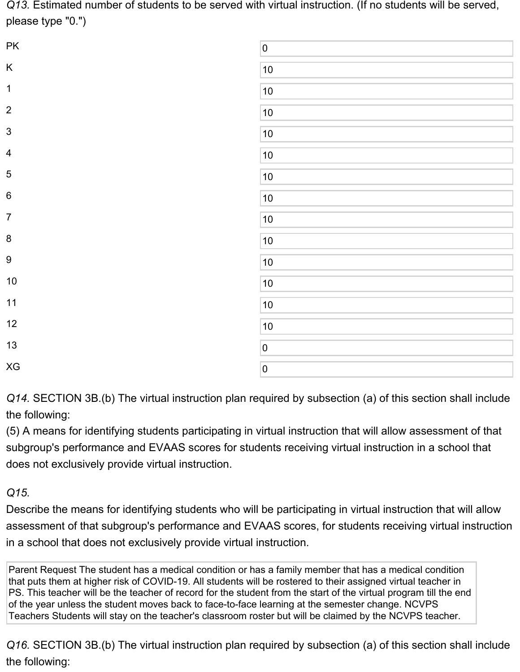*Q13.* Estimated number of students to be served with virtual instruction. (If no students will be served, please type "0.")

| PK                      | $\overline{\mathbf{0}}$ |
|-------------------------|-------------------------|
| $\sf K$                 | 10                      |
| $\mathbf 1$             | 10                      |
| $\overline{2}$          | 10                      |
| $\mathfrak{S}$          | 10                      |
| $\overline{\mathbf{4}}$ | 10                      |
| $\sqrt{5}$              | 10                      |
| $\,6\,$                 | 10                      |
| $\boldsymbol{7}$        | 10                      |
| $\bf 8$                 | 10                      |
| $\boldsymbol{9}$        | 10                      |
| $10$                    | 10                      |
| 11                      | 10                      |
| 12                      | 10                      |
| 13                      | $\overline{0}$          |
| XG                      | $\pmb{0}$               |

*Q14.* SECTION 3B.(b) The virtual instruction plan required by subsection (a) of this section shall include the following:

(5) A means for identifying students participating in virtual instruction that will allow assessment of that subgroup's performance and EVAAS scores for students receiving virtual instruction in a school that does not exclusively provide virtual instruction.

# *Q15.*

Describe the means for identifying students who will be participating in virtual instruction that will allow assessment of that subgroup's performance and EVAAS scores, for students receiving virtual instruction in a school that does not exclusively provide virtual instruction.

Parent Request The student has a medical condition or has a family member that has a medical condition that puts them at higher risk of COVID-19. All students will be rostered to their assigned virtual teacher in PS. This teacher will be the teacher of record for the student from the start of the virtual program till the end of the year unless the student moves back to face-to-face learning at the semester change. NCVPS Teachers Students will stay on the teacher's classroom roster but will be claimed by the NCVPS teacher.

*Q16.* SECTION 3B.(b) The virtual instruction plan required by subsection (a) of this section shall include the following: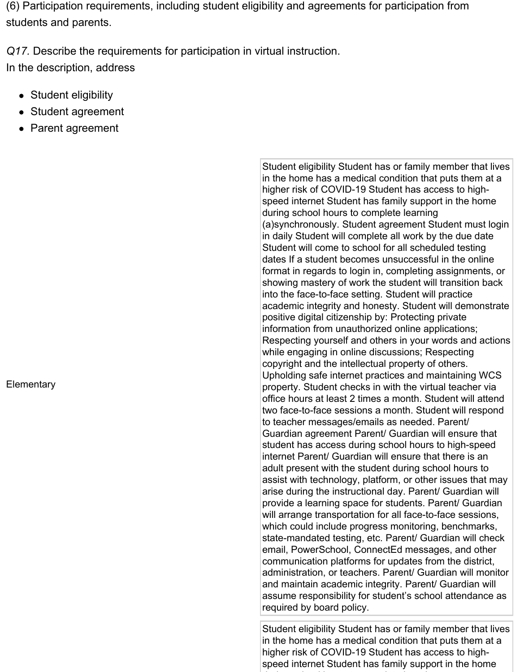(6) Participation requirements, including student eligibility and agreements for participation from students and parents.

*Q17.* Describe the requirements for participation in virtual instruction. In the description, address

- Student eligibility
- Student agreement
- Parent agreement

**Elementary** 

Student eligibility Student has or family member that lives in the home has a medical condition that puts them at a higher risk of COVID-19 Student has access to highspeed internet Student has family support in the home during school hours to complete learning (a)synchronously. Student agreement Student must login in daily Student will complete all work by the due date Student will come to school for all scheduled testing dates If a student becomes unsuccessful in the online format in regards to login in, completing assignments, or showing mastery of work the student will transition back into the face-to-face setting. Student will practice academic integrity and honesty. Student will demonstrate positive digital citizenship by: Protecting private information from unauthorized online applications; Respecting yourself and others in your words and actions while engaging in online discussions; Respecting copyright and the intellectual property of others. Upholding safe internet practices and maintaining WCS property. Student checks in with the virtual teacher via office hours at least 2 times a month. Student will attend two face-to-face sessions a month. Student will respond to teacher messages/emails as needed. Parent/ Guardian agreement Parent/ Guardian will ensure that student has access during school hours to high-speed internet Parent/ Guardian will ensure that there is an adult present with the student during school hours to assist with technology, platform, or other issues that may arise during the instructional day. Parent/ Guardian will provide a learning space for students. Parent/ Guardian will arrange transportation for all face-to-face sessions, which could include progress monitoring, benchmarks, state-mandated testing, etc. Parent/ Guardian will check email, PowerSchool, ConnectEd messages, and other communication platforms for updates from the district, administration, or teachers. Parent/ Guardian will monitor and maintain academic integrity. Parent/ Guardian will assume responsibility for student's school attendance as required by board policy.

Student eligibility Student has or family member that lives in the home has a medical condition that puts them at a higher risk of COVID-19 Student has access to highspeed internet Student has family support in the home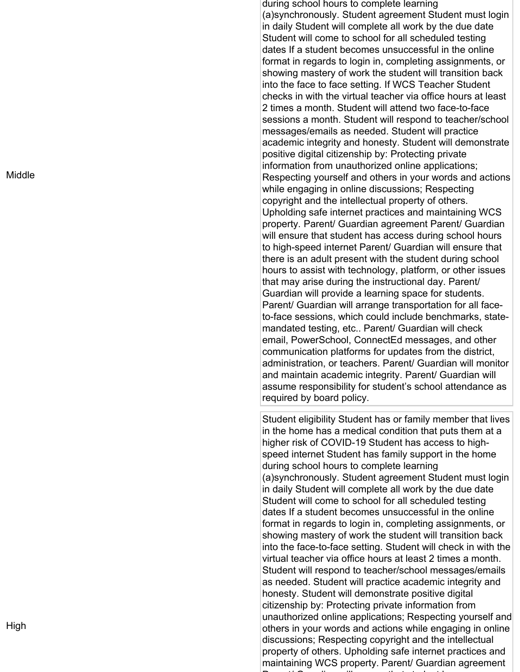Mid dle

during school hours to complete learning (a) synchronously. Student agreement Student must login in daily Student will complete all work by the due date Student will come to school for all scheduled testing dates If a student becomes unsuccessful in the online format in regards to login in, completing assignments, or showing mastery of work the student will transition back into the face to face setting. If WCS Teacher Student checks in with the virtual teacher via office hours at least 2 times a month. Student will attend two face-to-face sessions a month. Student will respond to teacher/school messages/emails as needed. Student will practice academic integrity and honesty. Student will demonstrate positive digital citizenship by: Protecting private information from unauthorized online applications; Respecting yourself and others in your words and actions while engaging in online discussions; Respecting copyright and the intellectual property of others. Upholding safe internet practices and maintaining WCS property. Parent/ Guardian agreement Parent/ Guardian will ensure that student has access during school hours to high-speed internet Parent/ Guardian will ensure that there is an adult present with the student during school hours to assist with technology, platform, or other issues that may arise during the instructional day. Parent/ Guardian will provide a learning space for students. Parent/ Guardian will arrange transportation for all face to-face sessions, which could include benchmarks, state mandated testing, etc.. Parent/ Guardian will check email, PowerSchool, ConnectEd messages, and other communication platforms for updates from the district, administration, or teachers. Parent/ Guardian will monitor and maintain academic integrity. Parent/ Guardian will assume responsibility for student's school attendance as required by board policy.

Student eligibility Student has or family member that lives<br>in the home has a medical condition that puts the member<br>in the home has a medical condition that puts them a<br>tigher risk of COVID-19 Student has access to high-<br> discussions; Respecting copyright and the intellectual property of others. Upholding safe internet practices and maintaining WCS property. Parent/ Guardian agreement Parent/ Guardian will ensure that student has access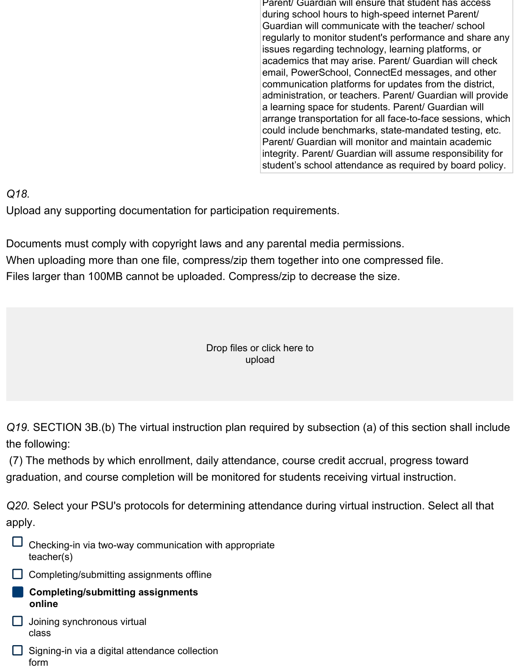Parent/ Guardian will ensure that student has access during school hours to high-speed internet Parent/ Guardian will communicate with the teacher/ school regularly to monitor student's performance and share any issues regarding technology, learning platforms, or academics that may arise. Parent/ Guardian will check email, PowerSchool, ConnectEd messages, and other communication platforms for updates from the district, administration, or teachers. Parent/ Guardian will provide a learning space for students. Parent/ Guardian will arrange transportation for all face-to-face sessions, which could include benchmarks, state-mandated testing, etc. Parent/ Guardian will monitor and maintain academic integrity. Parent/ Guardian will assume responsibility for student's school attendance as required by board policy.

*Q18.*

Upload any supporting documentation for participation requirements.

Documents must comply with copyright laws and any parental media permissions. When uploading more than one file, compress/zip them together into one compressed file. Files larger than 100MB cannot be uploaded. Compress/zip to decrease the size.

#### Drop files or click here to upload

*Q19.* SECTION 3B.(b) The virtual instruction plan required by subsection (a) of this section shall include the following:

(7) The methods by which enrollment, daily attendance, course credit accrual, progress toward graduation, and course completion will be monitored for students receiving virtual instruction.

*Q20.* Select your PSU's protocols for determining attendance during virtual instruction. Select all that apply.

- Checking-in via two-way communication with appropriate teacher(s)
- $\Box$  Completing/submitting assignments offline
	- **Completing/submitting assignments online**
- $\Box$  Joining synchronous virtual class
- $\Box$  Signing-in via a digital attendance collection form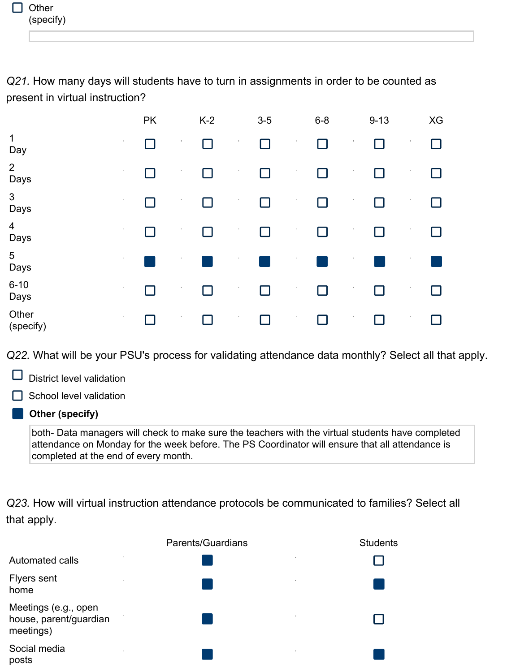*Q21.* How many days will students have to turn in assignments in order to be counted as present in virtual instruction?

|                         |                | <b>PK</b> |         | $K-2$  |                       | $3-5$  |          | $6-8$        |                       | $9 - 13$ |              | XG |
|-------------------------|----------------|-----------|---------|--------|-----------------------|--------|----------|--------------|-----------------------|----------|--------------|----|
| $\mathbf 1$<br>Day      | $\sim$         | $\Box$    | $\,$    | $\Box$ | $\boldsymbol{\alpha}$ |        | $\alpha$ | $\Box$       | ×,                    |          | $\,$         | П  |
| $\overline{2}$<br>Days  | $\mathbf{H}$ . | П         |         | П      | ٠                     | ┓      | $\alpha$ | П            | $\alpha$              |          | $\,$         |    |
| $\mathbf{3}$<br>Days    | $\mathbf{H}$ . | П         | $\,$    | П      | $\alpha$              | ┓      | $\alpha$ | П            | $\alpha$              |          | л.           | H  |
| $\overline{4}$<br>Days  |                |           |         | П      |                       | $\Box$ |          | $\mathsf{L}$ |                       |          |              |    |
| $5\phantom{.0}$<br>Days | $\mathbf{H}$ . |           | $\cdot$ |        | $\alpha$              |        | $\alpha$ |              | $\alpha$              |          | $\mathbf{r}$ |    |
| $6 - 10$<br>Days        | $\mathbf{H}$ . |           | $\cdot$ | П      | $\mathcal{I}$         | ┓      | $\alpha$ | П            | $\boldsymbol{\theta}$ |          | $\sim$       | П  |
| Other<br>(specify)      | $\mathbf{u}$ . |           | $\,$    | П      | $\sim$                | ┓      | $\sim$   | П            | $\alpha$              |          | $\sim$       | H  |

*Q22.* What will be your PSU's process for validating attendance data monthly? Select all that apply.

District level validation

School level validation

#### **Other (specify)**

both- Data managers will check to make sure the teachers with the virtual students have completed attendance on Monday for the week before. The PS Coordinator will ensure that all attendance is completed at the end of every month.

*Q23.* How will virtual instruction attendance protocols be communicated to families? Select all that apply.

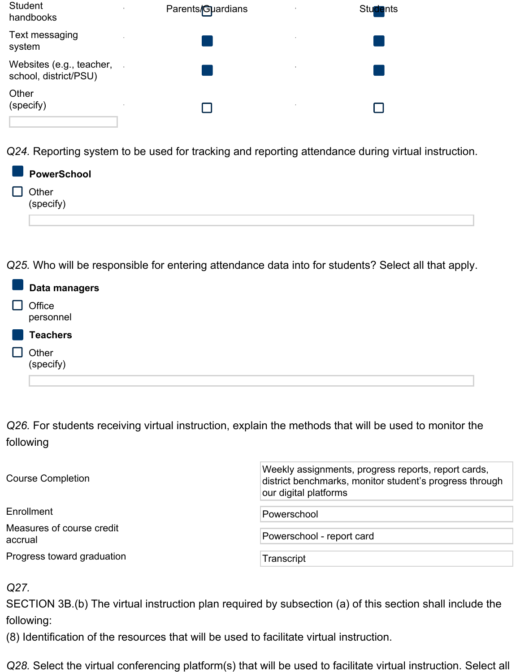| <b>Student</b><br>handbooks                       | Parents/Guardians<br>$\alpha$ . | <b>Students</b><br>$\sim$ |
|---------------------------------------------------|---------------------------------|---------------------------|
| Text messaging<br>system                          | $\sim$                          | $\alpha$                  |
| Websites (e.g., teacher,<br>school, district/PSU) |                                 | 10                        |
| Other<br>(specify)                                | $\sim$                          | 10                        |

*Q24.* Reporting system to be used for tracking and reporting attendance during virtual instruction.

| PowerSchool                                 |
|---------------------------------------------|
| Other<br>$\overline{\phantom{a}}$ (specify) |
|                                             |

*Q25.* Who will be responsible for entering attendance data into for students? Select all that apply.

| Data managers       |
|---------------------|
| Office<br>personnel |
| <b>Teachers</b>     |
| Other<br>(specify)  |
|                     |

*Q26.* For students receiving virtual instruction, explain the methods that will be used to monitor the following

| <b>Course Completion</b>             | Weekly assignments, progress reports, report cards,<br>district benchmarks, monitor student's progress through<br>our digital platforms |  |  |  |  |
|--------------------------------------|-----------------------------------------------------------------------------------------------------------------------------------------|--|--|--|--|
| Enrollment                           | Powerschool                                                                                                                             |  |  |  |  |
| Measures of course credit<br>accrual | Powerschool - report card                                                                                                               |  |  |  |  |
| Progress toward graduation           | Transcript                                                                                                                              |  |  |  |  |

### *Q27.*

SECTION 3B.(b) The virtual instruction plan required by subsection (a) of this section shall include the following:

(8) Identification of the resources that will be used to facilitate virtual instruction.

*Q28.* Select the virtual conferencing platform(s) that will be used to facilitate virtual instruction. Select all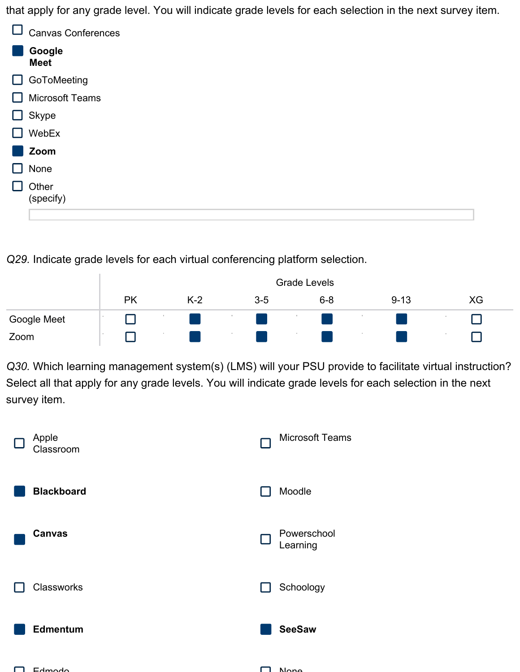that apply for any grade level. You will indicate grade levels for each selection in the next survey item.

|              | <b>Canvas Conferences</b> |
|--------------|---------------------------|
|              | Google<br><b>Meet</b>     |
| $\mathbf{I}$ | GoToMeeting               |
|              | <b>Microsoft Teams</b>    |
| ⊔            | Skype                     |
|              | WebEx                     |
|              | Zoom                      |
|              | None                      |
|              | Other<br>(specify)        |
|              |                           |

*Q29.* Indicate grade levels for each virtual conferencing platform selection.

|             |          | <b>Grade Levels</b> |       |  |         |  |         |  |          |  |    |  |
|-------------|----------|---------------------|-------|--|---------|--|---------|--|----------|--|----|--|
|             | PK       |                     | $K-2$ |  | $3 - 5$ |  | $6 - 8$ |  | $9 - 13$ |  | XG |  |
| Google Meet | <b>A</b> |                     |       |  |         |  |         |  |          |  |    |  |
| Zoom        | <b>A</b> |                     |       |  |         |  |         |  |          |  |    |  |

*Q30.* Which learning management system(s) (LMS) will your PSU provide to facilitate virtual instruction? Select all that apply for any grade levels. You will indicate grade levels for each selection in the next survey item.

| Apple<br>Classroom | <b>Microsoft Teams</b>  |
|--------------------|-------------------------|
| <b>Blackboard</b>  | Moodle                  |
| <b>Canvas</b>      | Powerschool<br>Learning |
| Classworks         | Schoology               |
| <b>Edmentum</b>    | <b>SeeSaw</b>           |
| $Eq$ wodo          | <b>Nono</b>             |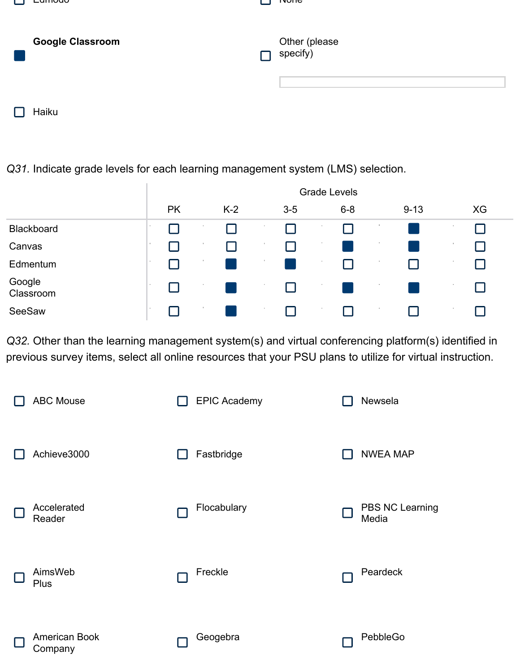| Lumouo                  | <u>ivone</u>              |
|-------------------------|---------------------------|
| <b>Google Classroom</b> | Other (please<br>specify) |
|                         |                           |

 $\Box$  Haiku

## *Q31.* Indicate grade levels for each learning management system (LMS) selection.

|                     |            |           |          |       |    |       | <b>Grade Levels</b> |       |             |          |     |    |
|---------------------|------------|-----------|----------|-------|----|-------|---------------------|-------|-------------|----------|-----|----|
|                     |            | <b>PK</b> |          | $K-2$ |    | $3-5$ |                     | $6-8$ |             | $9 - 13$ |     | XG |
| Blackboard          | <b>COL</b> |           | . .      |       | 18 |       |                     |       |             |          |     |    |
| Canvas              | - 10       |           | . .      |       |    |       |                     |       | ×.          |          |     |    |
| Edmentum            | <b>COL</b> |           | 11       |       | л. |       | п.                  |       | <b>COLL</b> |          |     |    |
| Google<br>Classroom | <b>COL</b> |           | <b>A</b> |       |    | H     | $\sim$              |       | ×.          |          |     |    |
| SeeSaw              | <b>COL</b> |           |          |       | 11 |       |                     |       | $\sim$      |          | . . |    |

*Q32.* Other than the learning management system(s) and virtual conferencing platform(s) identified in previous survey items, select all online resources that your PSU plans to utilize for virtual instruction.

| <b>ABC Mouse</b>                | <b>EPIC Academy</b> | Newsela                  |
|---------------------------------|---------------------|--------------------------|
| Achieve3000                     | Fastbridge          | <b>NWEA MAP</b>          |
| Accelerated<br>Reader           | Flocabulary         | PBS NC Learning<br>Media |
| AimsWeb<br>Plus                 | Freckle             | Peardeck                 |
| <b>American Book</b><br>Company | Geogebra            | PebbleGo                 |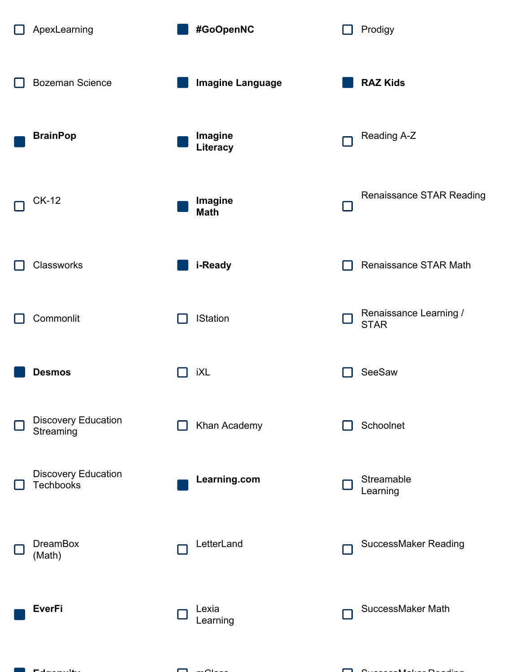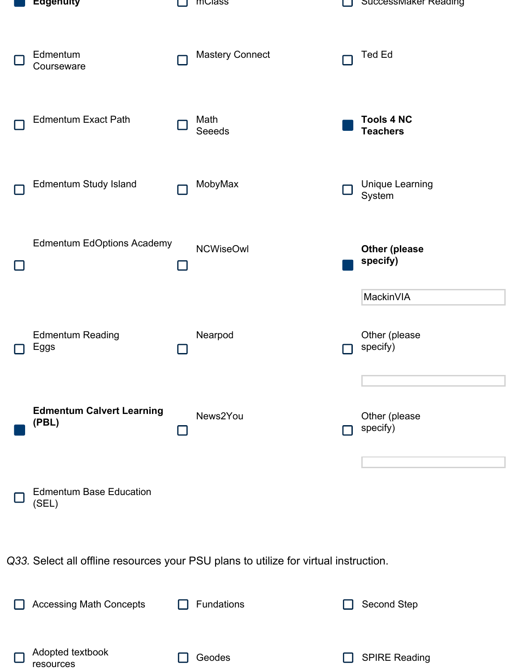| Eagenuity                                 |               | muass                                                                                | Successiviaker Reading               |
|-------------------------------------------|---------------|--------------------------------------------------------------------------------------|--------------------------------------|
| Edmentum<br>Courseware                    |               | <b>Mastery Connect</b>                                                               | <b>Ted Ed</b>                        |
| <b>Edmentum Exact Path</b>                |               | Math<br><b>Seeeds</b>                                                                | <b>Tools 4 NC</b><br><b>Teachers</b> |
| <b>Edmentum Study Island</b>              |               | MobyMax                                                                              | <b>Unique Learning</b><br>System     |
| <b>Edmentum EdOptions Academy</b>         | $\mathcal{L}$ | <b>NCWiseOwl</b>                                                                     | <b>Other (please</b><br>specify)     |
|                                           |               |                                                                                      | MackinVIA                            |
| <b>Edmentum Reading</b><br>Eggs           |               | Nearpod                                                                              | Other (please<br>specify)            |
| <b>Edmentum Calvert Learning</b><br>(PBL) |               | News2You                                                                             | Other (please<br>specify)            |
| <b>Edmentum Base Education</b><br>(SEL)   |               |                                                                                      |                                      |
|                                           |               | Q33. Select all offline resources your PSU plans to utilize for virtual instruction. |                                      |
| <b>Accessing Math Concepts</b>            |               | Fundations                                                                           | Second Step                          |
| Adopted textbook<br>resources             |               | Geodes                                                                               | <b>SPIRE Reading</b>                 |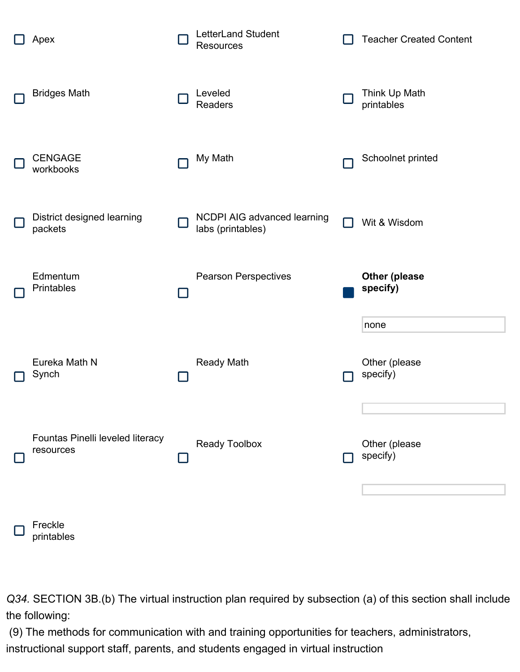

Freckle printables

*Q34.* SECTION 3B.(b) The virtual instruction plan required by subsection (a) of this section shall include the following:

(9) The methods for communication with and training opportunities for teachers, administrators, instructional support staff, parents, and students engaged in virtual instruction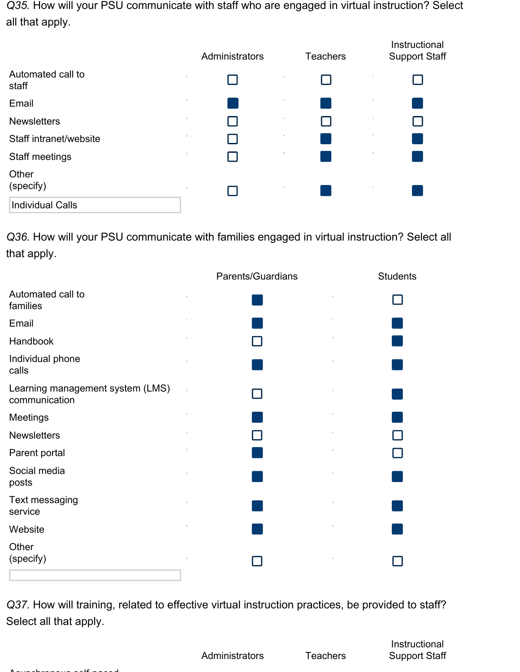*Q35.* How will your PSU communicate with staff who are engaged in virtual instruction? Select all that apply.

|                            | Administrators | <b>Teachers</b> | Instructional<br><b>Support Staff</b> |
|----------------------------|----------------|-----------------|---------------------------------------|
| Automated call to<br>staff | $\alpha$       |                 |                                       |
| Email                      | $\sim$         | ×.              | ×.                                    |
| <b>Newsletters</b>         | $\alpha$       |                 |                                       |
| Staff intranet/website     | $\sim$         | ×.              | ×.                                    |
| Staff meetings             | $\sim$         |                 |                                       |
| Other<br>(specify)         | $\alpha$       |                 |                                       |
| <b>Individual Calls</b>    |                |                 |                                       |

*Q36.* How will your PSU communicate with families engaged in virtual instruction? Select all that apply.

|                                                   | Parents/Guardians | <b>Students</b> |
|---------------------------------------------------|-------------------|-----------------|
| Automated call to<br>families                     |                   |                 |
| Email                                             |                   |                 |
| Handbook                                          |                   |                 |
| Individual phone<br>calls                         |                   |                 |
| Learning management system (LMS)<br>communication |                   |                 |
| Meetings                                          |                   |                 |
| <b>Newsletters</b>                                |                   |                 |
| Parent portal                                     |                   |                 |
| Social media<br>posts                             |                   |                 |
| Text messaging<br>service                         |                   |                 |
| Website                                           |                   |                 |
| Other<br>(specify)                                |                   |                 |

*Q37.* How will training, related to effective virtual instruction practices, be provided to staff? Select all that apply.

Administrators Teachers

Instructional Support Staff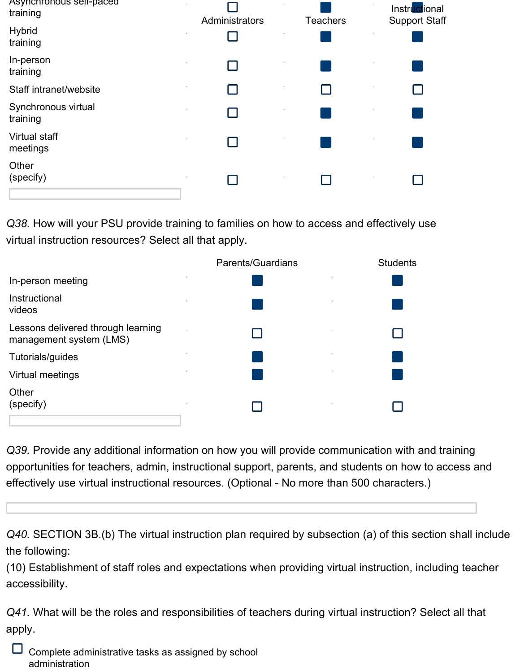| Asynchronous self-paced<br>training | Administrators | <b>Teachers</b> | Instructional<br><b>Support Staff</b> |
|-------------------------------------|----------------|-----------------|---------------------------------------|
| <b>Hybrid</b><br>training           |                |                 |                                       |
| In-person<br>training               |                |                 |                                       |
| Staff intranet/website              |                |                 |                                       |
| Synchronous virtual<br>training     |                |                 |                                       |
| Virtual staff<br>meetings           |                |                 |                                       |
| Other<br>(specify)                  |                |                 |                                       |

*Q38.* How will your PSU provide training to families on how to access and effectively use virtual instruction resources? Select all that apply.

| Parents/Guardians | <b>Students</b> |
|-------------------|-----------------|
| ٠                 |                 |
| ×                 |                 |
|                   |                 |
|                   |                 |
|                   |                 |
| ٠                 |                 |
|                   |                 |

*Q39.* Provide any additional information on how you will provide communication with and training opportunities for teachers, admin, instructional support, parents, and students on how to access and effectively use virtual instructional resources. (Optional - No more than 500 characters.)

*Q40.* SECTION 3B.(b) The virtual instruction plan required by subsection (a) of this section shall include the following:

(10) Establishment of staff roles and expectations when providing virtual instruction, including teacher accessibility.

*Q41.* What will be the roles and responsibilities of teachers during virtual instruction? Select all that apply.

| Complete administrative tasks as assigned by school |
|-----------------------------------------------------|
| administration                                      |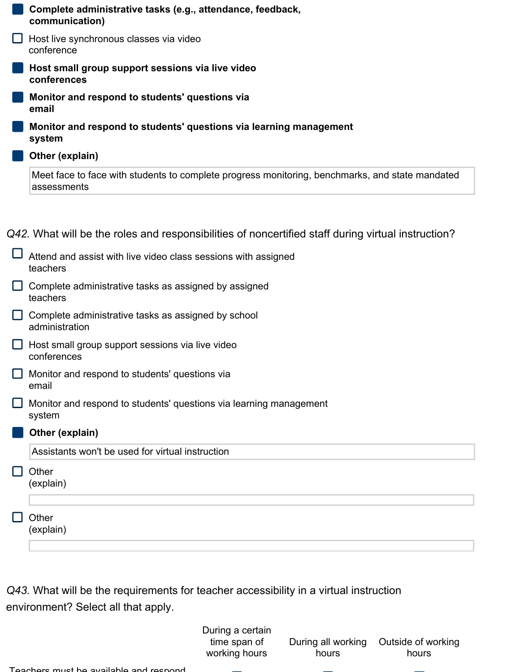| Complete administrative tasks (e.g., attendance, feedback,<br>communication)                                                                                         |
|----------------------------------------------------------------------------------------------------------------------------------------------------------------------|
| Host live synchronous classes via video<br>conference                                                                                                                |
| Host small group support sessions via live video<br>conferences                                                                                                      |
| Monitor and respond to students' questions via<br>email                                                                                                              |
| Monitor and respond to students' questions via learning management<br>system                                                                                         |
| Other (explain)                                                                                                                                                      |
| Meet face to face with students to complete progress monitoring, benchmarks, and state mandated<br>assessments                                                       |
| Q42. What will be the roles and responsibilities of noncertified staff during virtual instruction?<br>Attend and assist with live video class sessions with assigned |
| teachers                                                                                                                                                             |
| Complete administrative tasks as assigned by assigned<br>teachers                                                                                                    |
| Complete administrative tasks as assigned by school<br>administration                                                                                                |
| Host small group support sessions via live video<br>conferences                                                                                                      |
| $\Box$ Monitor and respond to students' questions via<br>email                                                                                                       |
| Monitor and respond to students' questions via learning management<br>system                                                                                         |
| Other (explain)                                                                                                                                                      |
| Assistants won't be used for virtual instruction                                                                                                                     |
| Other<br>(explain)                                                                                                                                                   |
|                                                                                                                                                                      |
| Other<br>(explain)                                                                                                                                                   |
|                                                                                                                                                                      |

*Q43.* What will be the requirements for teacher accessibility in a virtual instruction environment? Select all that apply.

> During a certain time span of working hours

hours

During all working Outside of working hours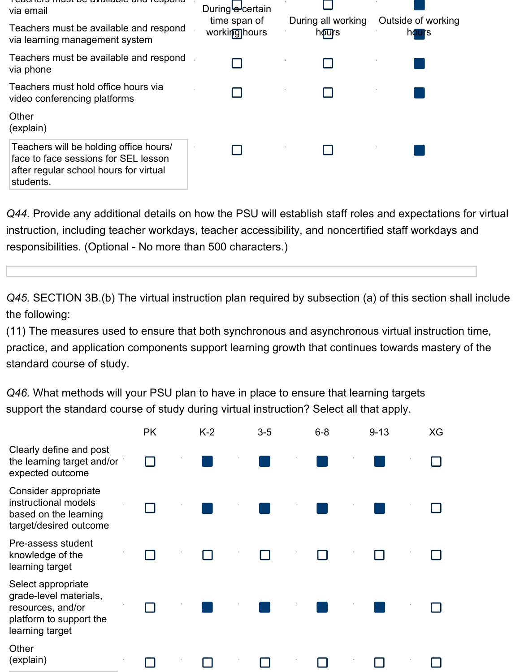| iual D <del>e avaliable</del><br>via email<br>Teachers must be available and respond<br>via learning management system                | Duringla-certain<br>time span of<br>workinghours | During all working<br>hours | Outside of working<br>hours |
|---------------------------------------------------------------------------------------------------------------------------------------|--------------------------------------------------|-----------------------------|-----------------------------|
| Teachers must be available and respond<br>via phone                                                                                   |                                                  |                             |                             |
| Teachers must hold office hours via<br>video conferencing platforms                                                                   |                                                  |                             |                             |
| Other<br>(explain)                                                                                                                    |                                                  |                             |                             |
| Teachers will be holding office hours/<br>face to face sessions for SEL lesson<br>after regular school hours for virtual<br>students. |                                                  |                             |                             |

*Q44.* Provide any additional details on how the PSU will establish staff roles and expectations for virtual instruction, including teacher workdays, teacher accessibility, and noncertified staff workdays and responsibilities. (Optional - No more than 500 characters.)

*Q45.* SECTION 3B.(b) The virtual instruction plan required by subsection (a) of this section shall include the following:

(11) The measures used to ensure that both synchronous and asynchronous virtual instruction time, practice, and application components support learning growth that continues towards mastery of the standard course of study.

*Q46.* What methods will your PSU plan to have in place to ensure that learning targets support the standard course of study during virtual instruction? Select all that apply.

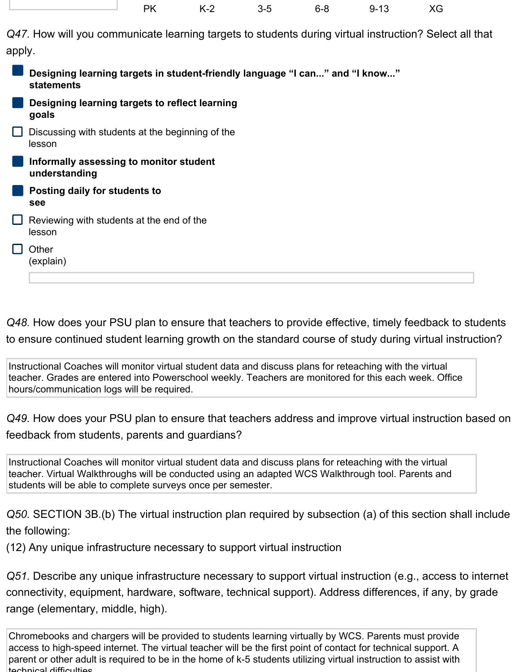| - PK | K-2 | $3 - 5$ | 6-8 | $9 - 13$ | XG |
|------|-----|---------|-----|----------|----|
|      |     |         |     |          |    |
|      |     |         |     |          |    |

*Q47.* How will you communicate learning targets to students during virtual instruction? Select all that apply.

| Designing learning targets in student-friendly language "I can" and "I know"<br>statements |
|--------------------------------------------------------------------------------------------|
| Designing learning targets to reflect learning<br>goals                                    |
| Discussing with students at the beginning of the<br>lesson                                 |
| Informally assessing to monitor student<br>understanding                                   |
| Posting daily for students to<br>see                                                       |
| Reviewing with students at the end of the<br>lesson                                        |
| Other<br>(explain)                                                                         |

*Q48.* How does your PSU plan to ensure that teachers to provide effective, timely feedback to students to ensure continued student learning growth on the standard course of study during virtual instruction?

Instructional Coaches will monitor virtual student data and discuss plans for reteaching with the virtual teacher. Grades are entered into Powerschool weekly. Teachers are monitored for this each week. Office hours/communication logs will be required.

*Q49.* How does your PSU plan to ensure that teachers address and improve virtual instruction based on feedback from students, parents and guardians?

Instructional Coaches will monitor virtual student data and discuss plans for reteaching with the virtual teacher. Virtual Walkthroughs will be conducted using an adapted WCS Walkthrough tool. Parents and students will be able to complete surveys once per semester.

*Q50.* SECTION 3B.(b) The virtual instruction plan required by subsection (a) of this section shall include the following:

(12) Any unique infrastructure necessary to support virtual instruction

*Q51.* Describe any unique infrastructure necessary to support virtual instruction (e.g., access to internet connectivity, equipment, hardware, software, technical support). Address differences, if any, by grade range (elementary, middle, high).

Chromebooks and chargers will be provided to students learning virtually by WCS. Parents must provide access to high-speed internet. The virtual teacher will be the first point of contact for technical support. A parent or other adult is required to be in the home of k-5 students utilizing virtual instruction to assist with tochnical difficulties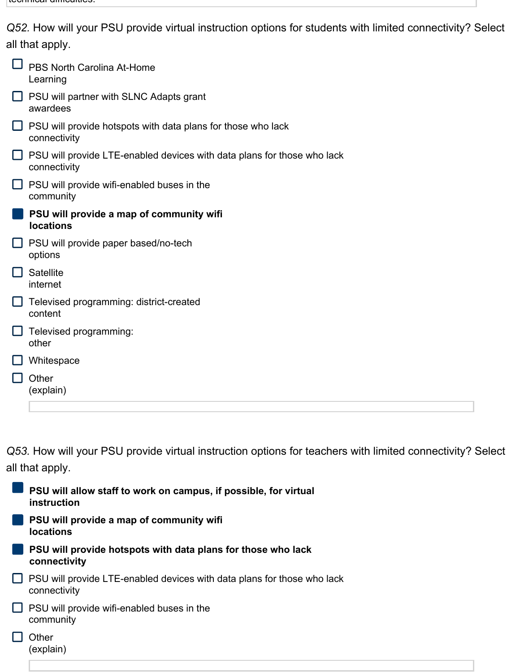| Q52. How will your PSU provide virtual instruction options for students with limited connectivity? Select |  |  |
|-----------------------------------------------------------------------------------------------------------|--|--|
| all that apply.                                                                                           |  |  |

|        | <b>PBS North Carolina At-Home</b><br>Learning                                           |
|--------|-----------------------------------------------------------------------------------------|
| ப      | PSU will partner with SLNC Adapts grant<br>awardees                                     |
| $\Box$ | PSU will provide hotspots with data plans for those who lack<br>connectivity            |
|        | PSU will provide LTE-enabled devices with data plans for those who lack<br>connectivity |
| ப      | PSU will provide wifi-enabled buses in the<br>community                                 |
|        | PSU will provide a map of community wifi<br><b>locations</b>                            |
|        | PSU will provide paper based/no-tech<br>options                                         |
|        | <b>Satellite</b><br>internet                                                            |
|        | Televised programming: district-created<br>content                                      |
|        | Televised programming:<br>other                                                         |
|        | Whitespace                                                                              |
|        | Other<br>(explain)                                                                      |
|        |                                                                                         |

*Q53.* How will your PSU provide virtual instruction options for teachers with limited connectivity? Select all that apply.

| PSU will allow staff to work on campus, if possible, for virtual<br>instruction         |
|-----------------------------------------------------------------------------------------|
| PSU will provide a map of community wifi<br><b>locations</b>                            |
| PSU will provide hotspots with data plans for those who lack<br>connectivity            |
| PSU will provide LTE-enabled devices with data plans for those who lack<br>connectivity |
| PSU will provide wifi-enabled buses in the<br>community                                 |
| Other<br>(explain)                                                                      |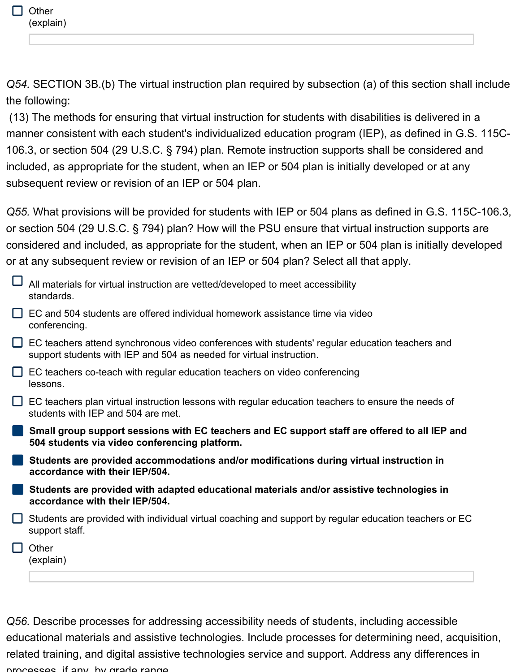*Q54.* SECTION 3B.(b) The virtual instruction plan required by subsection (a) of this section shall include the following:

(13) The methods for ensuring that virtual instruction for students with disabilities is delivered in a manner consistent with each student's individualized education program (IEP), as defined in G.S. 115C-106.3, or section 504 (29 U.S.C. § 794) plan. Remote instruction supports shall be considered and included, as appropriate for the student, when an IEP or 504 plan is initially developed or at any subsequent review or revision of an IEP or 504 plan.

*Q55.* What provisions will be provided for students with IEP or 504 plans as defined in G.S. 115C-106.3, or section 504 (29 U.S.C. § 794) plan? How will the PSU ensure that virtual instruction supports are considered and included, as appropriate for the student, when an IEP or 504 plan is initially developed or at any subsequent review or revision of an IEP or 504 plan? Select all that apply.

| All materials for virtual instruction are vetted/developed to meet accessibility<br>standards.                                                                         |
|------------------------------------------------------------------------------------------------------------------------------------------------------------------------|
| EC and 504 students are offered individual homework assistance time via video<br>conferencing.                                                                         |
| EC teachers attend synchronous video conferences with students' regular education teachers and<br>support students with IEP and 504 as needed for virtual instruction. |
| EC teachers co-teach with regular education teachers on video conferencing<br>lessons.                                                                                 |
| EC teachers plan virtual instruction lessons with regular education teachers to ensure the needs of<br>students with IEP and 504 are met.                              |
| Small group support sessions with EC teachers and EC support staff are offered to all IEP and<br>504 students via video conferencing platform.                         |
| Students are provided accommodations and/or modifications during virtual instruction in<br>accordance with their IEP/504.                                              |
| Students are provided with adapted educational materials and/or assistive technologies in<br>accordance with their IEP/504.                                            |
| Students are provided with individual virtual coaching and support by regular education teachers or EC<br>support staff.                                               |
| Other<br>(explain)                                                                                                                                                     |
|                                                                                                                                                                        |

*Q56.* Describe processes for addressing accessibility needs of students, including accessible educational materials and assistive technologies. Include processes for determining need, acquisition, related training, and digital assistive technologies service and support. Address any differences in processes, if any, by grade range.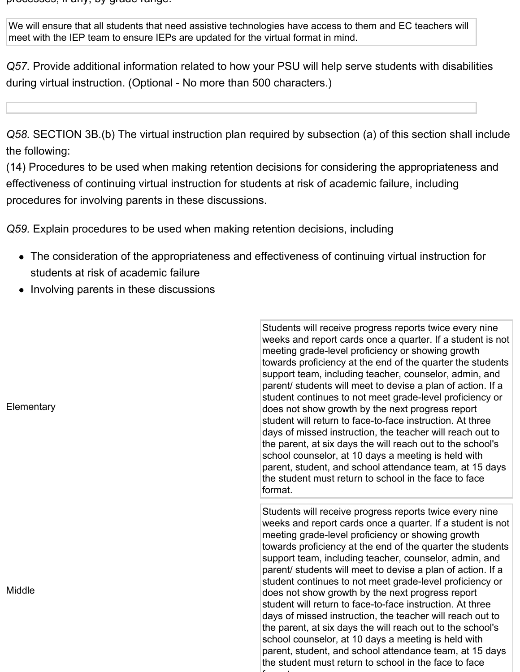processes, if any, by grade range.

We will ensure that all students that need assistive technologies have access to them and EC teachers will meet with the IEP team to ensure IEPs are updated for the virtual format in mind.

*Q57.* Provide additional information related to how your PSU will help serve students with disabilities during virtual instruction. (Optional - No more than 500 characters.)

*Q58.* SECTION 3B.(b) The virtual instruction plan required by subsection (a) of this section shall include the following:

(14) Procedures to be used when making retention decisions for considering the appropriateness and effectiveness of continuing virtual instruction for students at risk of academic failure, including procedures for involving parents in these discussions.

*Q59.* Explain procedures to be used when making retention decisions, including

- The consideration of the appropriateness and effectiveness of continuing virtual instruction for students at risk of academic failure
- Involving parents in these discussions

**Elementary** 

**Middle** 

Students will receive progress reports twice every nine weeks and report cards once a quarter. If a student is not meeting grade-level proficiency or showing growth towards proficiency at the end of the quarter the students support team, including teacher, counselor, admin, and parent/ students will meet to devise a plan of action. If a student continues to not meet grade-level proficiency or does not show growth by the next progress report student will return to face-to-face instruction. At three days of missed instruction, the teacher will reach out to the parent, at six days the will reach out to the school's school counselor, at 10 days a meeting is held with parent, student, and school attendance team, at 15 days the student must return to school in the face to face format.

Students will receive progress reports twice every nine weeks and report cards once a quarter. If a student is not meeting grade-level proficiency or showing growth towards proficiency at the end of the quarter the students support team, including teacher, counselor, admin, and parent/ students will meet to devise a plan of action. If a student continues to not meet grade-level proficiency or does not show growth by the next progress report student will return to face-to-face instruction. At three days of missed instruction, the teacher will reach out to the parent, at six days the will reach out to the school's school counselor, at 10 days a meeting is held with parent, student, and school attendance team, at 15 days the student must return to school in the face to face format.